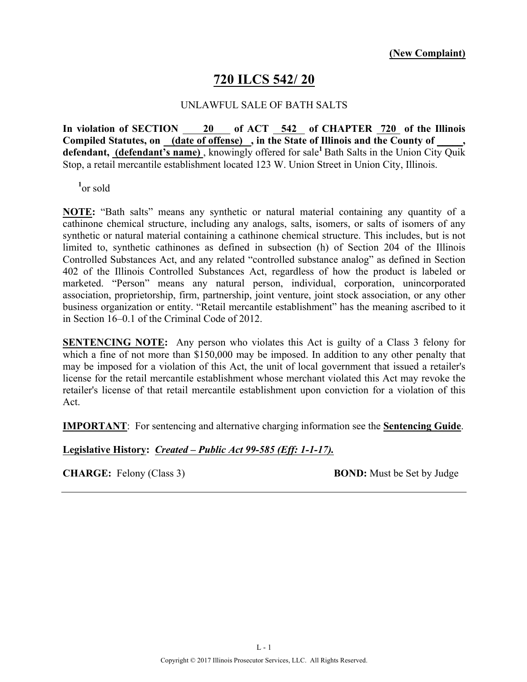### **720 ILCS 542/ 20**

#### UNLAWFUL SALE OF BATH SALTS

**In violation of SECTION 20 of ACT 542 of CHAPTER 720 of the Illinois**  Compiled Statutes, on (date of offense), in the State of Illinois and the County of **defendant, (defendant's name)** , knowingly offered for sale**<sup>1</sup>**Bath Salts in the Union City Quik Stop, a retail mercantile establishment located 123 W. Union Street in Union City, Illinois.

**1** or sold

**NOTE:** "Bath salts" means any synthetic or natural material containing any quantity of a cathinone chemical structure, including any analogs, salts, isomers, or salts of isomers of any synthetic or natural material containing a cathinone chemical structure. This includes, but is not limited to, synthetic cathinones as defined in subsection (h) of Section 204 of the Illinois Controlled Substances Act, and any related "controlled substance analog" as defined in Section 402 of the Illinois Controlled Substances Act, regardless of how the product is labeled or marketed. "Person" means any natural person, individual, corporation, unincorporated association, proprietorship, firm, partnership, joint venture, joint stock association, or any other business organization or entity. "Retail mercantile establishment" has the meaning ascribed to it in Section 16–0.1 of the Criminal Code of 2012.

**SENTENCING NOTE:** Any person who violates this Act is guilty of a Class 3 felony for which a fine of not more than \$150,000 may be imposed. In addition to any other penalty that may be imposed for a violation of this Act, the unit of local government that issued a retailer's license for the retail mercantile establishment whose merchant violated this Act may revoke the retailer's license of that retail mercantile establishment upon conviction for a violation of this Act.

**IMPORTANT**: For sentencing and alternative charging information see the **Sentencing Guide**.

#### **Legislative History:** *Created – Public Act 99-585 (Eff: 1-1-17).*

**CHARGE:** Felony (Class 3) **BOND:** Must be Set by Judge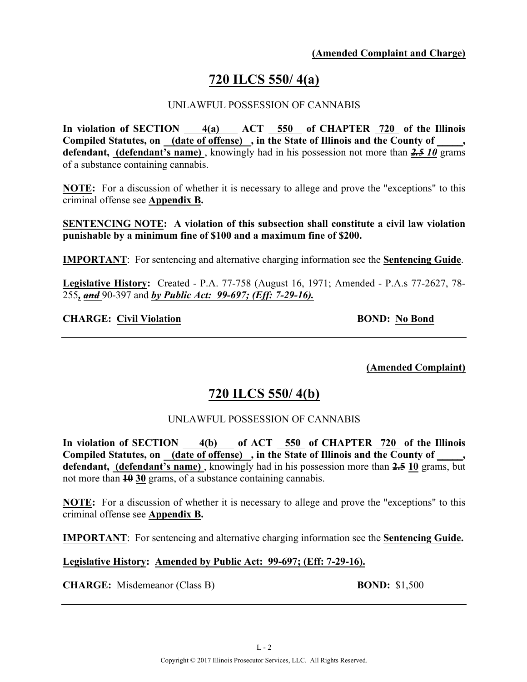# **720 ILCS 550/ 4(a)**

#### UNLAWFUL POSSESSION OF CANNABIS

**In violation of SECTION 4(a) ACT 550 of CHAPTER 720 of the Illinois**  Compiled Statutes, on \_(date of offense) \_, in the State of Illinois and the County of \_ **defendant, (defendant's name)** , knowingly had in his possession not more than *2.5 10* grams of a substance containing cannabis.

**NOTE:** For a discussion of whether it is necessary to allege and prove the "exceptions" to this criminal offense see **Appendix B.**

**SENTENCING NOTE: A violation of this subsection shall constitute a civil law violation punishable by a minimum fine of \$100 and a maximum fine of \$200.**

**IMPORTANT**: For sentencing and alternative charging information see the **Sentencing Guide**.

**Legislative History:** Created - P.A. 77-758 (August 16, 1971; Amended - P.A.s 77-2627, 78- 255*, and* 90-397 and *by Public Act: 99-697; (Eff: 7-29-16).*

#### **CHARGE:** Civil Violation **BOND:** No Bond

**(Amended Complaint)**

## **720 ILCS 550/ 4(b)**

#### UNLAWFUL POSSESSION OF CANNABIS

**In violation of SECTION 4(b) of ACT 550 of CHAPTER 720 of the Illinois**  Compiled Statutes, on (date of offense), in the State of Illinois and the County of **defendant, (defendant's name)** , knowingly had in his possession more than **2.5 10** grams, but not more than **10 30** grams, of a substance containing cannabis.

**NOTE:** For a discussion of whether it is necessary to allege and prove the "exceptions" to this criminal offense see **Appendix B.**

**IMPORTANT**: For sentencing and alternative charging information see the **Sentencing Guide.**

#### **Legislative History: Amended by Public Act: 99-697; (Eff: 7-29-16).**

**CHARGE:** Misdemeanor (Class B) **BOND:** \$1,500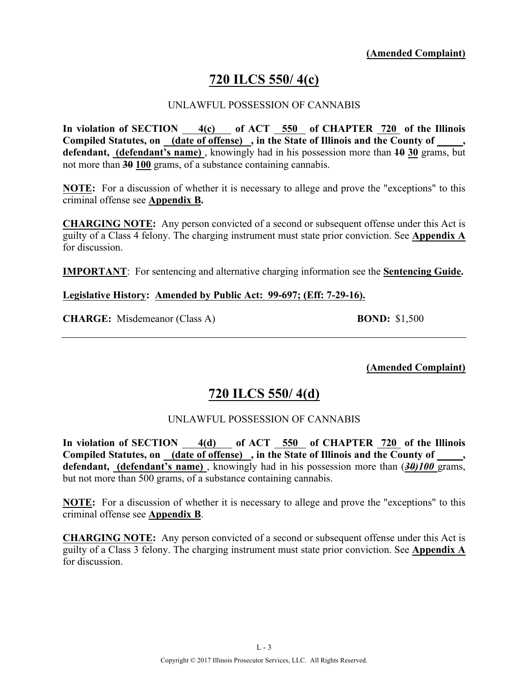# **720 ILCS 550/ 4(c)**

#### UNLAWFUL POSSESSION OF CANNABIS

**In violation of SECTION 4(c) of ACT 550 of CHAPTER 720 of the Illinois**  Compiled Statutes, on \_(date of offense) \_, in the State of Illinois and the County of \_ **defendant, (defendant's name)** , knowingly had in his possession more than **10 30** grams, but not more than **30 100** grams, of a substance containing cannabis.

**NOTE:** For a discussion of whether it is necessary to allege and prove the "exceptions" to this criminal offense see **Appendix B.**

**CHARGING NOTE:** Any person convicted of a second or subsequent offense under this Act is guilty of a Class 4 felony. The charging instrument must state prior conviction. See **Appendix A** for discussion.

**IMPORTANT**: For sentencing and alternative charging information see the **Sentencing Guide.**

#### **Legislative History: Amended by Public Act: 99-697; (Eff: 7-29-16).**

**CHARGE:** Misdemeanor (Class A) **BOND:** \$1,500

**(Amended Complaint)**

## **720 ILCS 550/ 4(d)**

#### UNLAWFUL POSSESSION OF CANNABIS

**In violation of SECTION 4(d) of ACT 550 of CHAPTER 720 of the Illinois**  Compiled Statutes, on (date of offense), in the State of Illinois and the County of **defendant, (defendant's name)** , knowingly had in his possession more than (*30)100* grams, but not more than 500 grams, of a substance containing cannabis.

**NOTE:** For a discussion of whether it is necessary to allege and prove the "exceptions" to this criminal offense see **Appendix B**.

**CHARGING NOTE:** Any person convicted of a second or subsequent offense under this Act is guilty of a Class 3 felony. The charging instrument must state prior conviction. See **Appendix A** for discussion.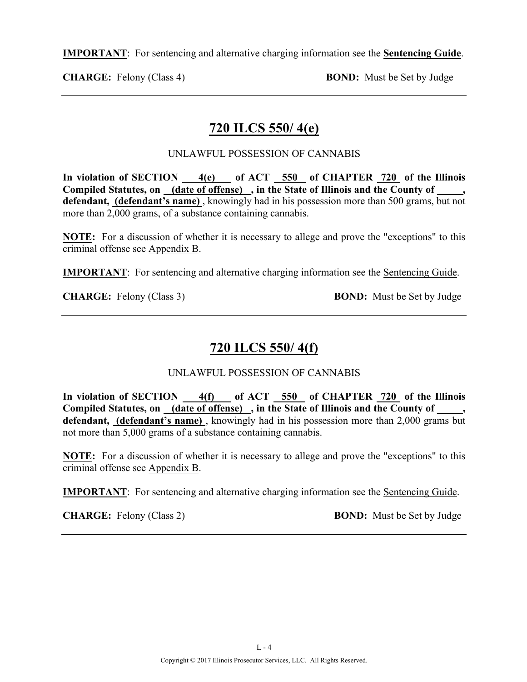**IMPORTANT**: For sentencing and alternative charging information see the **Sentencing Guide**.

**CHARGE:** Felony (Class 4) **BOND:** Must be Set by Judge

## **720 ILCS 550/ 4(e)**

#### UNLAWFUL POSSESSION OF CANNABIS

**In violation of SECTION 4(e) of ACT 550 of CHAPTER 720 of the Illinois Compiled Statutes, on (date of offense) , in the State of Illinois and the County of \_\_\_\_\_, defendant, (defendant's name)** , knowingly had in his possession more than 500 grams, but not more than 2,000 grams, of a substance containing cannabis.

**NOTE:** For a discussion of whether it is necessary to allege and prove the "exceptions" to this criminal offense see Appendix B.

**IMPORTANT**: For sentencing and alternative charging information see the Sentencing Guide.

**CHARGE:** Felony (Class 3) **BOND:** Must be Set by Judge

# **720 ILCS 550/ 4(f)**

UNLAWFUL POSSESSION OF CANNABIS

**In violation of SECTION 4(f) of ACT 550 of CHAPTER 720 of the Illinois**  Compiled Statutes, on <u>(date of offense)</u>, in the State of Illinois and the County of **defendant, (defendant's name)** , knowingly had in his possession more than 2,000 grams but not more than 5,000 grams of a substance containing cannabis.

**NOTE:** For a discussion of whether it is necessary to allege and prove the "exceptions" to this criminal offense see Appendix B.

**IMPORTANT**: For sentencing and alternative charging information see the Sentencing Guide.

**CHARGE:** Felony (Class 2) **BOND:** Must be Set by Judge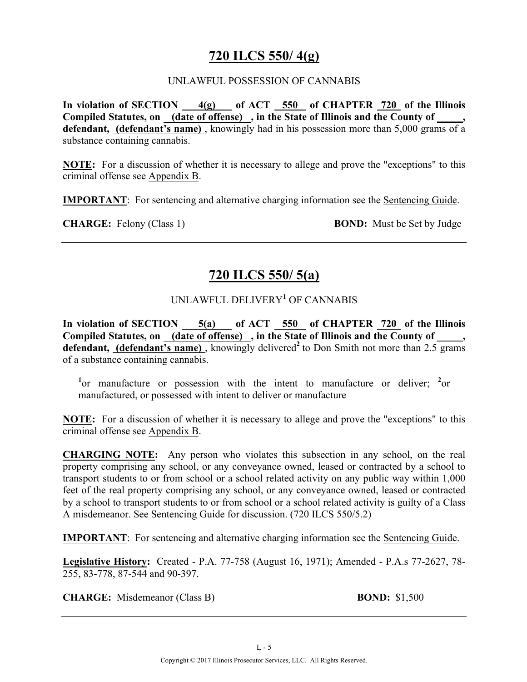## **720 ILCS 550/ 4(g)**

#### UNLAWFUL POSSESSION OF CANNABIS

In violation of SECTION 4(g) of ACT 550 of CHAPTER 720 of the Illinois **Compiled Statutes, on (date of offense) , in the State of Illinois and the County of \_\_\_\_\_, defendant, (defendant's name)** , knowingly had in his possession more than 5,000 grams of a substance containing cannabis.

**NOTE:** For a discussion of whether it is necessary to allege and prove the "exceptions" to this criminal offense see Appendix B.

**IMPORTANT**: For sentencing and alternative charging information see the Sentencing Guide.

**CHARGE:** Felony (Class 1) **BOND:** Must be Set by Judge

### **720 ILCS 550/ 5(a)**

### UNLAWFUL DELIVERY**<sup>1</sup>** OF CANNABIS

**In violation of SECTION 5(a) of ACT 550 of CHAPTER 720 of the Illinois**  Compiled Statutes, on (date of offense), in the State of Illinois and the County of defendant, (defendant's name), knowingly delivered<sup>2</sup> to Don Smith not more than 2.5 grams of a substance containing cannabis.

<sup>1</sup> or manufacture or possession with the intent to manufacture or deliver; <sup>2</sup> or manufactured, or possessed with intent to deliver or manufacture

**NOTE:** For a discussion of whether it is necessary to allege and prove the "exceptions" to this criminal offense see Appendix B.

**CHARGING NOTE:** Any person who violates this subsection in any school, on the real property comprising any school, or any conveyance owned, leased or contracted by a school to transport students to or from school or a school related activity on any public way within 1,000 feet of the real property comprising any school, or any conveyance owned, leased or contracted by a school to transport students to or from school or a school related activity is guilty of a Class A misdemeanor. See Sentencing Guide for discussion. (720 ILCS 550/5.2)

**IMPORTANT**: For sentencing and alternative charging information see the Sentencing Guide.

**Legislative History:** Created - P.A. 77-758 (August 16, 1971); Amended - P.A.s 77-2627, 78- 255, 83-778, 87-544 and 90-397.

**CHARGE:** Misdemeanor (Class B) **BOND:** \$1,500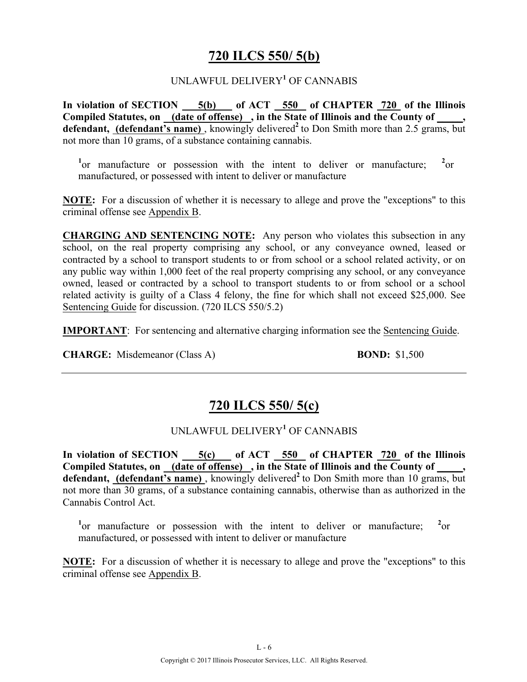### **720 ILCS 550/ 5(b)**

#### UNLAWFUL DELIVERY**<sup>1</sup>** OF CANNABIS

**In violation of SECTION 5(b) of ACT 550 of CHAPTER 720 of the Illinois Compiled Statutes, on (date of offense) , in the State of Illinois and the County of \_\_\_\_\_,**  defendant, (defendant's name), knowingly delivered<sup>2</sup> to Don Smith more than 2.5 grams, but not more than 10 grams, of a substance containing cannabis.

<sup>1</sup> or manufacture or possession with the intent to deliver or manufacture; <sup>2</sup>  $^{2}$ or manufactured, or possessed with intent to deliver or manufacture

**NOTE:** For a discussion of whether it is necessary to allege and prove the "exceptions" to this criminal offense see Appendix B.

**CHARGING AND SENTENCING NOTE:** Any person who violates this subsection in any school, on the real property comprising any school, or any conveyance owned, leased or contracted by a school to transport students to or from school or a school related activity, or on any public way within 1,000 feet of the real property comprising any school, or any conveyance owned, leased or contracted by a school to transport students to or from school or a school related activity is guilty of a Class 4 felony, the fine for which shall not exceed \$25,000. See Sentencing Guide for discussion. (720 ILCS 550/5.2)

**IMPORTANT**: For sentencing and alternative charging information see the Sentencing Guide.

**CHARGE:** Misdemeanor (Class A) **BOND:** \$1,500

## **720 ILCS 550/ 5(c)**

### UNLAWFUL DELIVERY**<sup>1</sup>** OF CANNABIS

**In violation of SECTION 5(c) of ACT 550 of CHAPTER 720 of the Illinois**  Compiled Statutes, on (date of offense), in the State of Illinois and the County of defendant, (defendant's name), knowingly delivered<sup>2</sup> to Don Smith more than 10 grams, but not more than 30 grams, of a substance containing cannabis, otherwise than as authorized in the Cannabis Control Act.

<sup>1</sup> or manufacture or possession with the intent to deliver or manufacture; <sup>2</sup>  $^{2}$ or manufactured, or possessed with intent to deliver or manufacture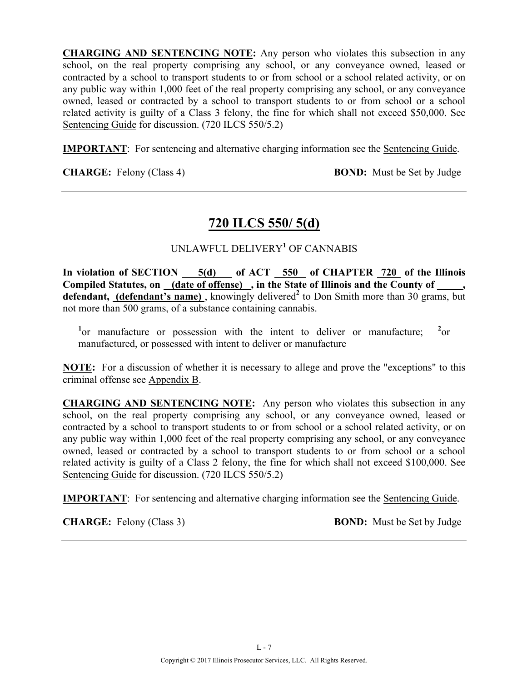**CHARGING AND SENTENCING NOTE:** Any person who violates this subsection in any school, on the real property comprising any school, or any conveyance owned, leased or contracted by a school to transport students to or from school or a school related activity, or on any public way within 1,000 feet of the real property comprising any school, or any conveyance owned, leased or contracted by a school to transport students to or from school or a school related activity is guilty of a Class 3 felony, the fine for which shall not exceed \$50,000. See Sentencing Guide for discussion. (720 ILCS 550/5.2)

**IMPORTANT**: For sentencing and alternative charging information see the Sentencing Guide.

**CHARGE:** Felony (Class 4) **BOND:** Must be Set by Judge

## **720 ILCS 550/ 5(d)**

### UNLAWFUL DELIVERY**<sup>1</sup>** OF CANNABIS

In violation of SECTION 5(d) of ACT 550 of CHAPTER 720 of the Illinois **Compiled Statutes, on (date of offense) , in the State of Illinois and the County of \_\_\_\_\_,**  defendant, (defendant's name), knowingly delivered<sup>2</sup> to Don Smith more than 30 grams, but not more than 500 grams, of a substance containing cannabis.

<sup>1</sup> or manufacture or possession with the intent to deliver or manufacture; <sup>2</sup>  $^{2}$ or manufactured, or possessed with intent to deliver or manufacture

**NOTE:** For a discussion of whether it is necessary to allege and prove the "exceptions" to this criminal offense see Appendix B.

**CHARGING AND SENTENCING NOTE:** Any person who violates this subsection in any school, on the real property comprising any school, or any conveyance owned, leased or contracted by a school to transport students to or from school or a school related activity, or on any public way within 1,000 feet of the real property comprising any school, or any conveyance owned, leased or contracted by a school to transport students to or from school or a school related activity is guilty of a Class 2 felony, the fine for which shall not exceed \$100,000. See Sentencing Guide for discussion. (720 ILCS 550/5.2)

**IMPORTANT**: For sentencing and alternative charging information see the Sentencing Guide.

**CHARGE:** Felony (Class 3) **BOND:** Must be Set by Judge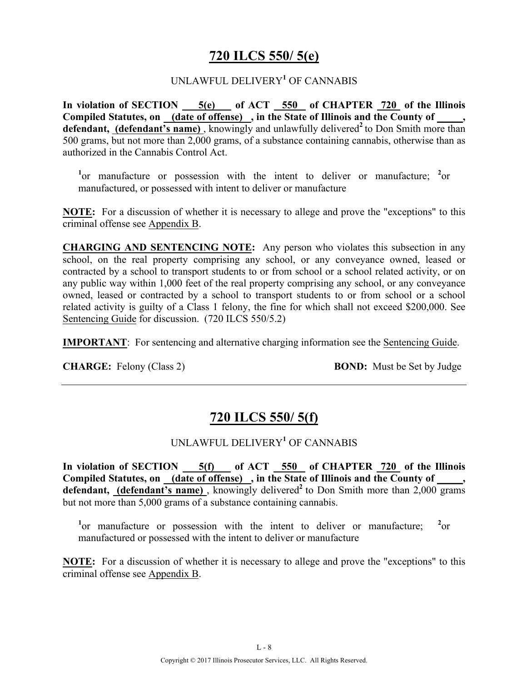## **720 ILCS 550/ 5(e)**

#### UNLAWFUL DELIVERY**<sup>1</sup>** OF CANNABIS

**In violation of SECTION 5(e) of ACT 550 of CHAPTER 720 of the Illinois**  Compiled Statutes, on (date of offense), in the State of Illinois and the County of, defendant, (defendant's name), knowingly and unlawfully delivered<sup>2</sup> to Don Smith more than 500 grams, but not more than 2,000 grams, of a substance containing cannabis, otherwise than as authorized in the Cannabis Control Act.

<sup>1</sup> or manufacture or possession with the intent to deliver or manufacture; <sup>2</sup> or manufactured, or possessed with intent to deliver or manufacture

**NOTE:** For a discussion of whether it is necessary to allege and prove the "exceptions" to this criminal offense see Appendix B.

**CHARGING AND SENTENCING NOTE:** Any person who violates this subsection in any school, on the real property comprising any school, or any conveyance owned, leased or contracted by a school to transport students to or from school or a school related activity, or on any public way within 1,000 feet of the real property comprising any school, or any conveyance owned, leased or contracted by a school to transport students to or from school or a school related activity is guilty of a Class 1 felony, the fine for which shall not exceed \$200,000. See Sentencing Guide for discussion. (720 ILCS 550/5.2)

**IMPORTANT**: For sentencing and alternative charging information see the Sentencing Guide.

**CHARGE:** Felony (Class 2) **BOND:** Must be Set by Judge

## **720 ILCS 550/ 5(f)**

### UNLAWFUL DELIVERY**<sup>1</sup>** OF CANNABIS

**In violation of SECTION 5(f) of ACT 550 of CHAPTER 720 of the Illinois**  Compiled Statutes, on (date of offense), in the State of Illinois and the County of defendant, (defendant's name), knowingly delivered<sup>2</sup> to Don Smith more than 2,000 grams but not more than 5,000 grams of a substance containing cannabis.

<sup>1</sup> or manufacture or possession with the intent to deliver or manufacture; <sup>2</sup>  $^{2}$ <sub>or</sub> manufactured or possessed with the intent to deliver or manufacture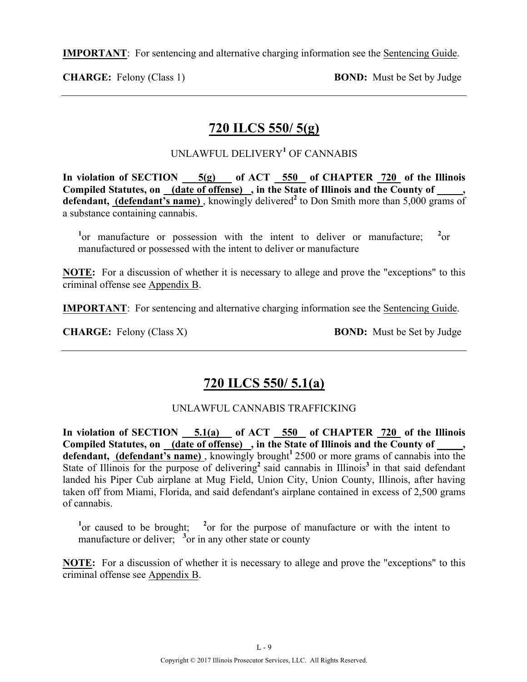**IMPORTANT**: For sentencing and alternative charging information see the Sentencing Guide.

**CHARGE:** Felony (Class 1) **BOND:** Must be Set by Judge

# **720 ILCS 550/ 5(g)**

### UNLAWFUL DELIVERY**<sup>1</sup>** OF CANNABIS

**In violation of SECTION 5(g) of ACT 550 of CHAPTER 720 of the Illinois Compiled Statutes, on (date of offense) , in the State of Illinois and the County of \_\_\_\_\_,**  defendant, (defendant's name), knowingly delivered<sup>2</sup> to Don Smith more than 5,000 grams of a substance containing cannabis.

<sup>1</sup> or manufacture or possession with the intent to deliver or manufacture; <sup>2</sup>  $^{2}$ or manufactured or possessed with the intent to deliver or manufacture

**NOTE:** For a discussion of whether it is necessary to allege and prove the "exceptions" to this criminal offense see Appendix B.

**IMPORTANT**: For sentencing and alternative charging information see the Sentencing Guide.

**CHARGE:** Felony (Class X) **BOND:** Must be Set by Judge

# **720 ILCS 550/ 5.1(a)**

### UNLAWFUL CANNABIS TRAFFICKING

In violation of SECTION 5.1(a) of ACT 550 of CHAPTER 720 of the Illinois **Compiled Statutes, on (date of offense) , in the State of Illinois and the County of \_\_\_\_\_, defendant, (defendant's name)** , knowingly brought**<sup>1</sup>**2500 or more grams of cannabis into the State of Illinois for the purpose of delivering<sup>2</sup> said cannabis in Illinois<sup>3</sup> in that said defendant landed his Piper Cub airplane at Mug Field, Union City, Union County, Illinois, after having taken off from Miami, Florida, and said defendant's airplane contained in excess of 2,500 grams of cannabis.

<sup>1</sup> or caused to be brought; <sup>2</sup> or for the purpose of manufacture or with the intent to manufacture or deliver; <sup>3</sup> or in any other state or county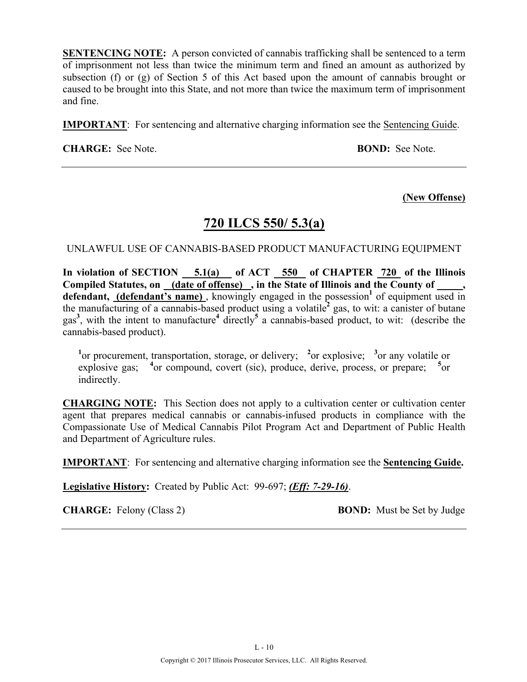**SENTENCING NOTE:** A person convicted of cannabis trafficking shall be sentenced to a term of imprisonment not less than twice the minimum term and fined an amount as authorized by subsection (f) or (g) of Section 5 of this Act based upon the amount of cannabis brought or caused to be brought into this State, and not more than twice the maximum term of imprisonment and fine.

**IMPORTANT**: For sentencing and alternative charging information see the Sentencing Guide.

**CHARGE:** See Note. **BOND:** See Note.

#### **(New Offense)**

### **720 ILCS 550/ 5.3(a)**

UNLAWFUL USE OF CANNABIS-BASED PRODUCT MANUFACTURING EQUIPMENT

In violation of SECTION 5.1(a) of ACT 550 of CHAPTER 720 of the Illinois **Compiled Statutes, on (date of offense) , in the State of Illinois and the County of \_\_\_\_\_,**  defendant, (defendant's name), knowingly engaged in the possession<sup>1</sup> of equipment used in the manufacturing of a cannabis-based product using a volatile**<sup>2</sup>** gas, to wit: a canister of butane gas**<sup>3</sup>** , with the intent to manufacture**<sup>4</sup>** directly**<sup>5</sup>** a cannabis-based product, to wit: (describe the cannabis-based product).

<sup>1</sup><sup>or</sup> procurement, transportation, storage, or delivery; <sup>2</sup><sup>or</sup> explosive; <sup>3</sup><sup>or</sup> any volatile or explosive gas; <sup>4</sup> or compound, covert (sic), produce, derive, process, or prepare; <sup>5</sup>  $5_{\alpha r}$ indirectly.

**CHARGING NOTE:** This Section does not apply to a cultivation center or cultivation center agent that prepares medical cannabis or cannabis-infused products in compliance with the Compassionate Use of Medical Cannabis Pilot Program Act and Department of Public Health and Department of Agriculture rules.

**IMPORTANT**: For sentencing and alternative charging information see the **Sentencing Guide.**

**Legislative History:** Created by Public Act: 99-697; *(Eff: 7-29-16)*.

**CHARGE:** Felony (Class 2) **BOND:** Must be Set by Judge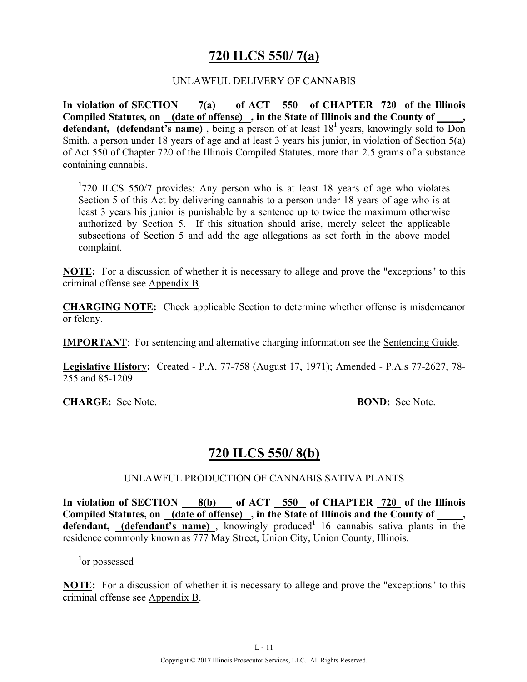## **720 ILCS 550/ 7(a)**

#### UNLAWFUL DELIVERY OF CANNABIS

**In violation of SECTION 7(a) of ACT 550 of CHAPTER 720 of the Illinois Compiled Statutes, on (date of offense) , in the State of Illinois and the County of \_\_\_\_\_,**  defendant, (defendant's name), being a person of at least 18<sup>1</sup> years, knowingly sold to Don Smith, a person under 18 years of age and at least 3 years his junior, in violation of Section 5(a) of Act 550 of Chapter 720 of the Illinois Compiled Statutes, more than 2.5 grams of a substance containing cannabis.

**1** 720 ILCS 550/7 provides: Any person who is at least 18 years of age who violates Section 5 of this Act by delivering cannabis to a person under 18 years of age who is at least 3 years his junior is punishable by a sentence up to twice the maximum otherwise authorized by Section 5. If this situation should arise, merely select the applicable subsections of Section 5 and add the age allegations as set forth in the above model complaint.

**NOTE:** For a discussion of whether it is necessary to allege and prove the "exceptions" to this criminal offense see Appendix B.

**CHARGING NOTE:** Check applicable Section to determine whether offense is misdemeanor or felony.

**IMPORTANT**: For sentencing and alternative charging information see the Sentencing Guide.

**Legislative History:** Created - P.A. 77-758 (August 17, 1971); Amended - P.A.s 77-2627, 78- 255 and 85-1209.

**CHARGE:** See Note. **BOND:** See Note.

### **720 ILCS 550/ 8(b)**

UNLAWFUL PRODUCTION OF CANNABIS SATIVA PLANTS

**In violation of SECTION 8(b) of ACT 550 of CHAPTER 720 of the Illinois**  Compiled Statutes, on (date of offense), in the State of Illinois and the County of defendant, (defendant's name), knowingly produced<sup>1</sup> 16 cannabis sativa plants in the residence commonly known as 777 May Street, Union City, Union County, Illinois.

**1** or possessed